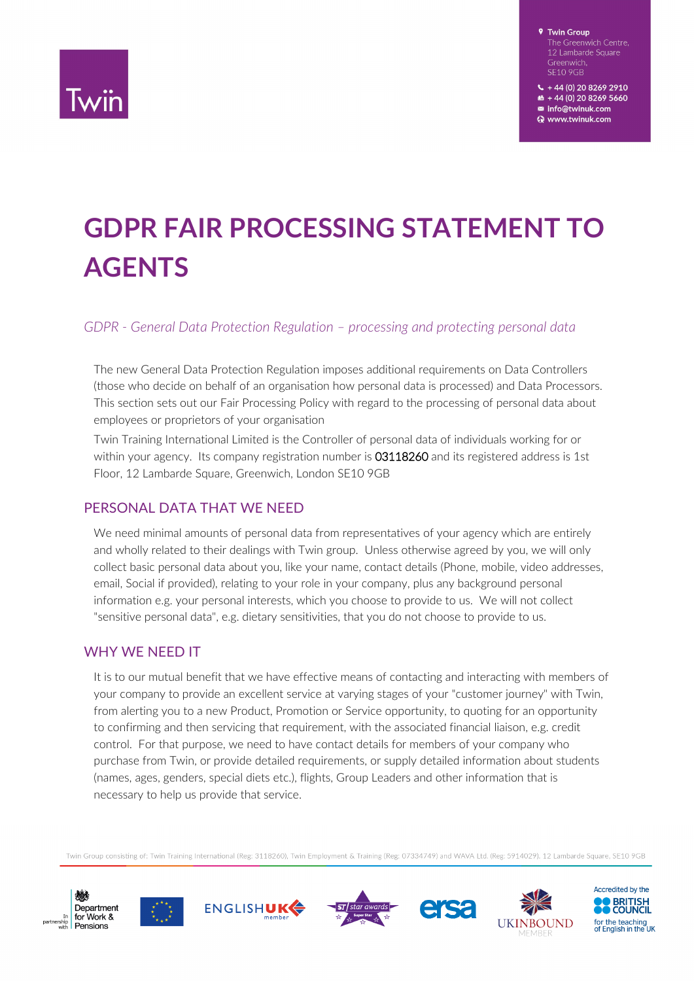

+44 (0) 20 8269 2910 m8 + 44 (0) 20 8269 5660 ■ info@twinuk.com Www.twinuk.com

# **GDPR FAIR PROCESSING STATEMENT TO AGENTS**

#### *GDPR - General Data Protection Regulation – processing and protecting personal data*

The new General Data Protection Regulation imposes additional requirements on Data Controllers (those who decide on behalf of an organisation how personal data is processed) and Data Processors. This section sets out our Fair Processing Policy with regard to the processing of personal data about employees or proprietors of your organisation

Twin Training International Limited is the Controller of personal data of individuals working for or within your agency. Its company registration number is 03118260 and its registered address is 1st Floor, 12 Lambarde Square, Greenwich, London SE10 9GB

#### PERSONAL DATA THAT WE NEED

We need minimal amounts of personal data from representatives of your agency which are entirely and wholly related to their dealings with Twin group. Unless otherwise agreed by you, we will only collect basic personal data about you, like your name, contact details (Phone, mobile, video addresses, email, Social if provided), relating to your role in your company, plus any background personal information e.g. your personal interests, which you choose to provide to us. We will not collect "sensitive personal data", e.g. dietary sensitivities, that you do not choose to provide to us.

#### WHY WE NEED IT

It is to our mutual benefit that we have effective means of contacting and interacting with members of your company to provide an excellent service at varying stages of your "customer journey" with Twin, from alerting you to a new Product, Promotion or Service opportunity, to quoting for an opportunity to confirming and then servicing that requirement, with the associated financial liaison, e.g. credit control. For that purpose, we need to have contact details for members of your company who purchase from Twin, or provide detailed requirements, or supply detailed information about students (names, ages, genders, special diets etc.), flights, Group Leaders and other information that is necessary to help us provide that service.

Twin Group consisting of: Twin Training International (Reg: 3118260), Twin Employment & Training (Reg: 07334749) and WAVA Ltd. (Reg: 5914029). 12 Lambarde Square, SE10 9GB